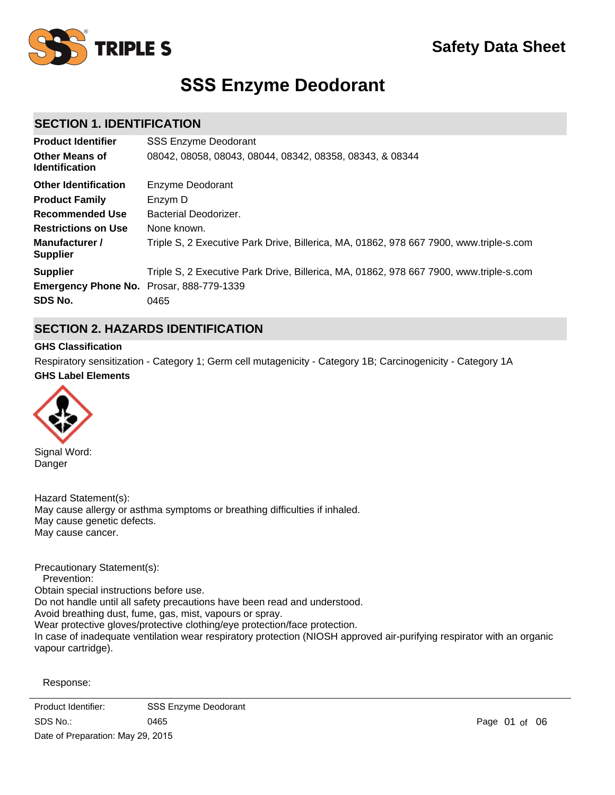

# **SSS Enzyme Deodorant**

# **SECTION 1. IDENTIFICATION**

| <b>Product Identifier</b>                       | <b>SSS Enzyme Deodorant</b>                                                            |
|-------------------------------------------------|----------------------------------------------------------------------------------------|
| <b>Other Means of</b><br><b>Identification</b>  | 08042, 08058, 08043, 08044, 08342, 08358, 08343, & 08344                               |
| <b>Other Identification</b>                     | Enzyme Deodorant                                                                       |
| <b>Product Family</b>                           | Enzym D                                                                                |
| Recommended Use                                 | Bacterial Deodorizer.                                                                  |
| <b>Restrictions on Use</b>                      | None known.                                                                            |
| Manufacturer /<br><b>Supplier</b>               | Triple S, 2 Executive Park Drive, Billerica, MA, 01862, 978 667 7900, www.triple-s.com |
| <b>Supplier</b>                                 | Triple S, 2 Executive Park Drive, Billerica, MA, 01862, 978 667 7900, www.triple-s.com |
| <b>Emergency Phone No.</b> Prosar, 888-779-1339 |                                                                                        |
| SDS No.                                         | 0465                                                                                   |

# **SECTION 2. HAZARDS IDENTIFICATION**

#### **GHS Classification**

**GHS Label Elements** Respiratory sensitization - Category 1; Germ cell mutagenicity - Category 1B; Carcinogenicity - Category 1A



Signal Word: Danger

Hazard Statement(s): May cause allergy or asthma symptoms or breathing difficulties if inhaled. May cause genetic defects. May cause cancer.

Precautionary Statement(s): Prevention: Obtain special instructions before use. Do not handle until all safety precautions have been read and understood. Avoid breathing dust, fume, gas, mist, vapours or spray. Wear protective gloves/protective clothing/eye protection/face protection. In case of inadequate ventilation wear respiratory protection (NIOSH approved air-purifying respirator with an organic vapour cartridge).

Response:

IF INHALED: If breathing is difficult, remove person to fresh air and keep comfortable for breathing. Product Identifier: SSS Enzyme Deodorant  $SDS No:$  CALL a POISON CENTRE-OFFICENTRE-OFFICENTRE-OFFICENTRE-OFFICENTRE-OFFICENTRE-OFFICENTRE-OFFICENTRE-OFFICENTRE-OFFICENTRE-OFFICENTRE-OFFICENTRE-OFFICENTRE-OFFICENTRE-OFFICENTRE-OFFICENTRE-OFFICENTRE-OFFICENTRE-OFFICE SDS No.: Date of Preparation: May 29, 2015 0465 Page of 0601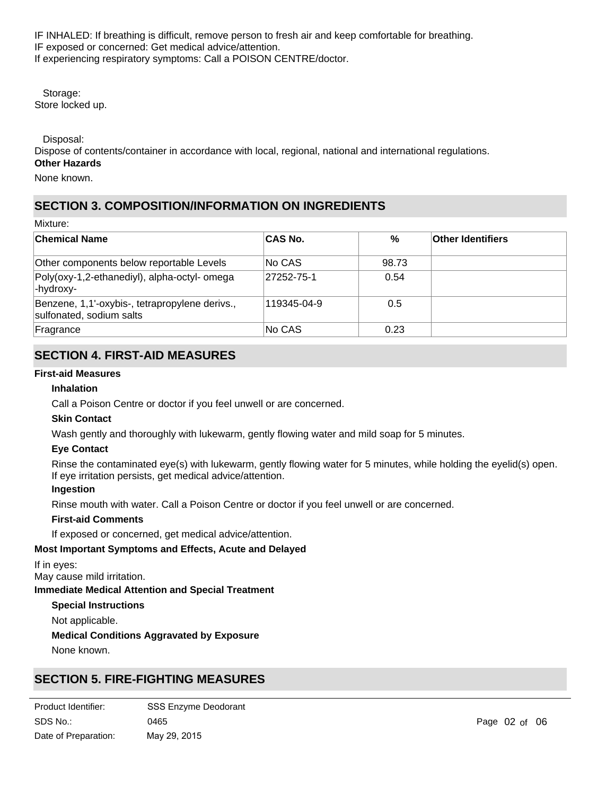IF INHALED: If breathing is difficult, remove person to fresh air and keep comfortable for breathing. IF exposed or concerned: Get medical advice/attention. If experiencing respiratory symptoms: Call a POISON CENTRE/doctor.

 Storage: Store locked up.

Disposal:

Dispose of contents/container in accordance with local, regional, national and international regulations. **Other Hazards**

None known.

# **SECTION 3. COMPOSITION/INFORMATION ON INGREDIENTS**

Mixture:

| <b>Chemical Name</b>                                                       | <b>CAS No.</b> | %     | <b>Other Identifiers</b> |
|----------------------------------------------------------------------------|----------------|-------|--------------------------|
| Other components below reportable Levels                                   | No CAS         | 98.73 |                          |
| Poly(oxy-1,2-ethanediyl), alpha-octyl- omega<br>-hydroxy-                  | 27252-75-1     | 0.54  |                          |
| Benzene, 1,1'-oxybis-, tetrapropylene derivs.,<br>sulfonated, sodium salts | 119345-04-9    | 0.5   |                          |
| Fragrance                                                                  | No CAS         | 0.23  |                          |

# **SECTION 4. FIRST-AID MEASURES**

### **First-aid Measures**

### **Inhalation**

Call a Poison Centre or doctor if you feel unwell or are concerned.

### **Skin Contact**

Wash gently and thoroughly with lukewarm, gently flowing water and mild soap for 5 minutes.

### **Eye Contact**

Rinse the contaminated eye(s) with lukewarm, gently flowing water for 5 minutes, while holding the eyelid(s) open. If eye irritation persists, get medical advice/attention.

#### **Ingestion**

Rinse mouth with water. Call a Poison Centre or doctor if you feel unwell or are concerned.

#### **First-aid Comments**

If exposed or concerned, get medical advice/attention.

### **Most Important Symptoms and Effects, Acute and Delayed**

If in eyes:

May cause mild irritation.

**Immediate Medical Attention and Special Treatment**

#### **Special Instructions**

Not applicable.

#### **Medical Conditions Aggravated by Exposure**

None known.

# **SECTION 5. FIRE-FIGHTING MEASURES**

| Product Identifier:  | <b>SSS Enzyme Deodorant</b> |
|----------------------|-----------------------------|
| SDS No.:             | 0465                        |
| Date of Preparation: | May 29, 2015                |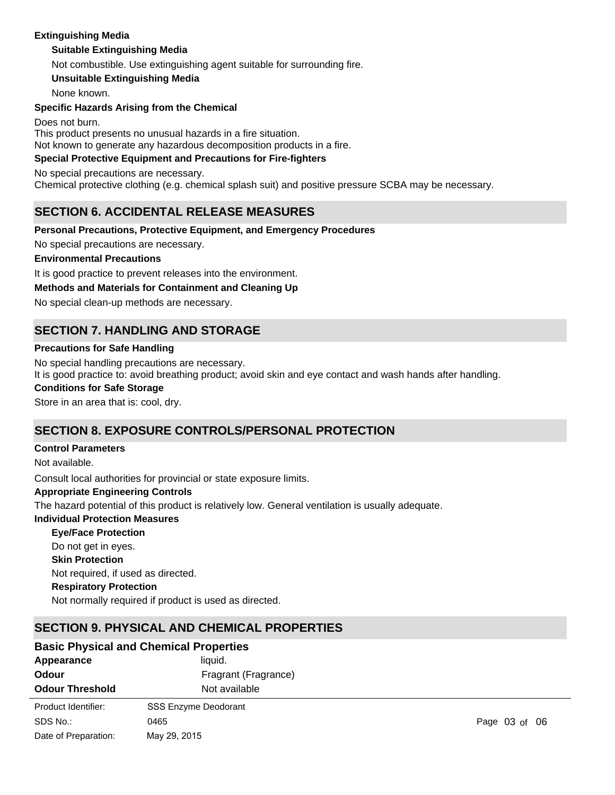# **Extinguishing Media**

### **Suitable Extinguishing Media**

Not combustible. Use extinguishing agent suitable for surrounding fire.

**Unsuitable Extinguishing Media**

None known.

### **Specific Hazards Arising from the Chemical**

Does not burn.

This product presents no unusual hazards in a fire situation.

Not known to generate any hazardous decomposition products in a fire.

# **Special Protective Equipment and Precautions for Fire-fighters**

No special precautions are necessary.

Chemical protective clothing (e.g. chemical splash suit) and positive pressure SCBA may be necessary.

# **SECTION 6. ACCIDENTAL RELEASE MEASURES**

### **Personal Precautions, Protective Equipment, and Emergency Procedures**

No special precautions are necessary.

#### **Environmental Precautions**

It is good practice to prevent releases into the environment.

### **Methods and Materials for Containment and Cleaning Up**

No special clean-up methods are necessary.

# **SECTION 7. HANDLING AND STORAGE**

#### **Precautions for Safe Handling**

No special handling precautions are necessary.

It is good practice to: avoid breathing product; avoid skin and eye contact and wash hands after handling.

#### **Conditions for Safe Storage**

Store in an area that is: cool, dry.

# **SECTION 8. EXPOSURE CONTROLS/PERSONAL PROTECTION**

#### **Control Parameters**

Not available. **Appropriate Engineering Controls Individual Protection Measures Skin Protection Respiratory Protection Eye/Face Protection** Consult local authorities for provincial or state exposure limits. Not required, if used as directed. Do not get in eyes. The hazard potential of this product is relatively low. General ventilation is usually adequate.

Not normally required if product is used as directed.

# **SECTION 9. PHYSICAL AND CHEMICAL PROPERTIES**

#### **Appearance** liquid. **Odour** Fragrant (Fragrance) **Odour Threshold** Not available **Basic Physical and Chemical Properties** SDS No.: Date of Preparation: 0465 **Page 03 of 06** Product Identifier: SSS Enzyme Deodorant May 29, 2015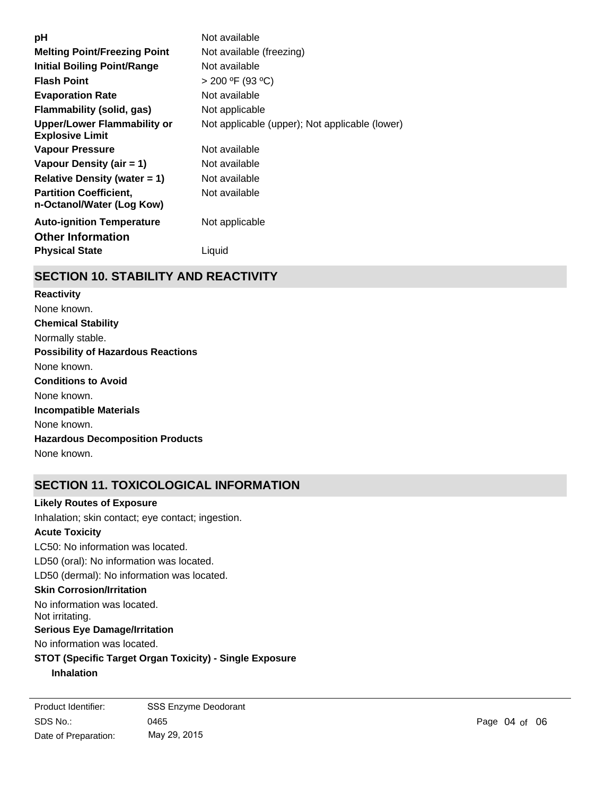| рH                                                         | Not available                                  |
|------------------------------------------------------------|------------------------------------------------|
| <b>Melting Point/Freezing Point</b>                        | Not available (freezing)                       |
| <b>Initial Boiling Point/Range</b>                         | Not available                                  |
| <b>Flash Point</b>                                         | $> 200$ °F (93 °C)                             |
| <b>Evaporation Rate</b>                                    | Not available                                  |
| Flammability (solid, gas)                                  | Not applicable                                 |
| Upper/Lower Flammability or<br><b>Explosive Limit</b>      | Not applicable (upper); Not applicable (lower) |
| <b>Vapour Pressure</b>                                     | Not available                                  |
| Vapour Density (air $= 1$ )                                | Not available                                  |
| Relative Density (water $= 1$ )                            | Not available                                  |
| <b>Partition Coefficient,</b><br>n-Octanol/Water (Log Kow) | Not available                                  |
| <b>Auto-ignition Temperature</b>                           | Not applicable                                 |
| <b>Other Information</b>                                   |                                                |
| <b>Physical State</b>                                      | Liquid                                         |

# **SECTION 10. STABILITY AND REACTIVITY**

**Chemical Stability** Normally stable. **Conditions to Avoid** None known. **Incompatible Materials** None known. **Hazardous Decomposition Products** None known. **Possibility of Hazardous Reactions** None known. **Reactivity** None known.

# **SECTION 11. TOXICOLOGICAL INFORMATION**

LC50: No information was located. LD50 (oral): No information was located. **Skin Corrosion/Irritation** No information was located. Not irritating. **Serious Eye Damage/Irritation** No information was located. LD50 (dermal): No information was located. **Acute Toxicity** Inhalation; skin contact; eye contact; ingestion. **Likely Routes of Exposure**

**STOT (Specific Target Organ Toxicity) - Single Exposure Inhalation**

SDS No.: Date of Preparation: 0465 **Page 04 of 06** Product Identifier: SSS Enzyme Deodorant May 29, 2015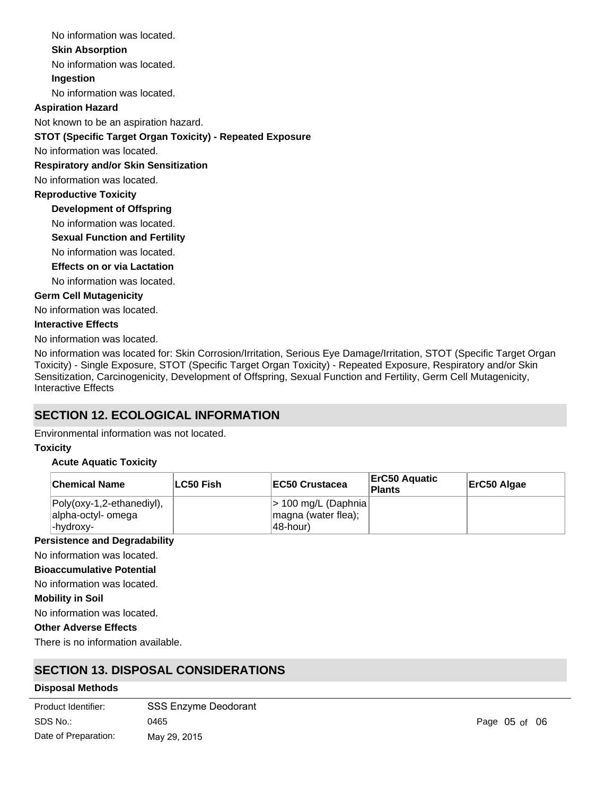No information was located.

### **Skin Absorption**

No information was located.

# **Ingestion**

No information was located.

# **Aspiration Hazard**

Not known to be an aspiration hazard.

# **STOT (Specific Target Organ Toxicity) - Repeated Exposure**

No information was located.

### **Respiratory and/or Skin Sensitization**

No information was located.

### **Reproductive Toxicity**

**Development of Offspring**

- No information was located.
- **Sexual Function and Fertility**
- No information was located.

# **Effects on or via Lactation**

No information was located.

### **Germ Cell Mutagenicity**

No information was located.

### **Interactive Effects**

No information was located.

No information was located for: Skin Corrosion/Irritation, Serious Eye Damage/Irritation, STOT (Specific Target Organ Toxicity) - Single Exposure, STOT (Specific Target Organ Toxicity) - Repeated Exposure, Respiratory and/or Skin Sensitization, Carcinogenicity, Development of Offspring, Sexual Function and Fertility, Germ Cell Mutagenicity, Interactive Effects

# **SECTION 12. ECOLOGICAL INFORMATION**

Environmental information was not located.

### **Toxicity**

### **Acute Aquatic Toxicity**

| <b>Chemical Name</b>                                         | ∣LC50 Fish | <b>IEC50 Crustacea</b>                                      | <b>ErC50 Aquatic</b><br>Plants | ErC50 Algae |
|--------------------------------------------------------------|------------|-------------------------------------------------------------|--------------------------------|-------------|
| Poly(oxy-1,2-ethanediyl),<br>alpha-octyl- omega<br>-hvdroxv- |            | $ $ > 100 mg/L (Daphnia)<br>magna (water flea);<br>48-hour) |                                |             |

### **Persistence and Degradability**

No information was located.

#### **Bioaccumulative Potential**

No information was located.

#### **Mobility in Soil**

No information was located.

# **Other Adverse Effects**

There is no information available.

# **SECTION 13. DISPOSAL CONSIDERATIONS**

### **Disposal Methods**

| Product Identifier:  | <b>SSS Enzyme Deodorant</b> |
|----------------------|-----------------------------|
| SDS No.:             | 0465                        |
| Date of Preparation: | May 29, 2015                |